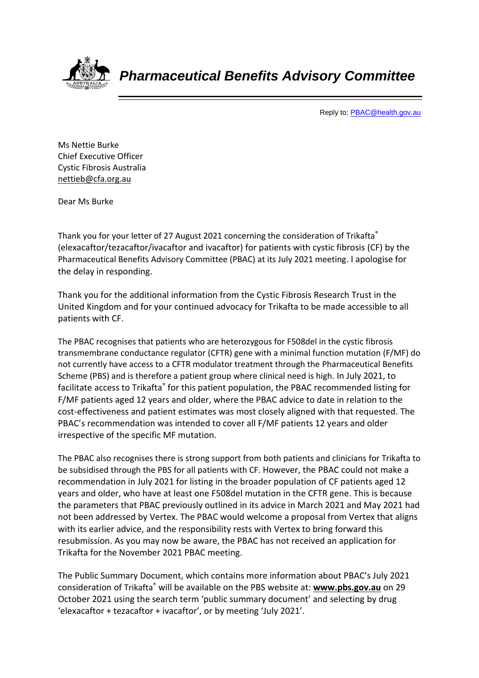

*Pharmaceutical Benefits Advisory Committee*

Reply to[: PBAC@health.gov.au](mailto:PBAC@health.gov.au)

Ms Nettie Burke Chief Executive Officer Cystic Fibrosis Australia [nettieb@cfa.org.au](mailto:nettieb@cfa.org.au)

Dear Ms Burke

Thank you for your letter of 27 August 2021 concerning the consideration of Trikafta® (elexacaftor/tezacaftor/ivacaftor and ivacaftor) for patients with cystic fibrosis (CF) by the Pharmaceutical Benefits Advisory Committee (PBAC) at its July 2021 meeting. I apologise for the delay in responding.

Thank you for the additional information from the Cystic Fibrosis Research Trust in the United Kingdom and for your continued advocacy for Trikafta to be made accessible to all patients with CF.

The PBAC recognises that patients who are heterozygous for F508del in the cystic fibrosis transmembrane conductance regulator (CFTR) gene with a minimal function mutation (F/MF) do not currently have access to a CFTR modulator treatment through the Pharmaceutical Benefits Scheme (PBS) and is therefore a patient group where clinical need is high. In July 2021, to facilitate access to Trikafta® for this patient population, the PBAC recommended listing for F/MF patients aged 12 years and older, where the PBAC advice to date in relation to the cost-effectiveness and patient estimates was most closely aligned with that requested. The PBAC's recommendation was intended to cover all F/MF patients 12 years and older irrespective of the specific MF mutation.

The PBAC also recognises there is strong support from both patients and clinicians for Trikafta to be subsidised through the PBS for all patients with CF. However, the PBAC could not make a recommendation in July 2021 for listing in the broader population of CF patients aged 12 years and older, who have at least one F508del mutation in the CFTR gene. This is because the parameters that PBAC previously outlined in its advice in March 2021 and May 2021 had not been addressed by Vertex. The PBAC would welcome a proposal from Vertex that aligns with its earlier advice, and the responsibility rests with Vertex to bring forward this resubmission. As you may now be aware, the PBAC has not received an application for Trikafta for the November 2021 PBAC meeting.

The Public Summary Document, which contains more information about PBAC's July 2021 consideration of Trikafta® will be available on the PBS website at: **[www.pbs.gov.au](http://www.pbs.gov.au/)** on 29 October 2021 using the search term 'public summary document' and selecting by drug 'elexacaftor + tezacaftor + ivacaftor', or by meeting 'July 2021'.